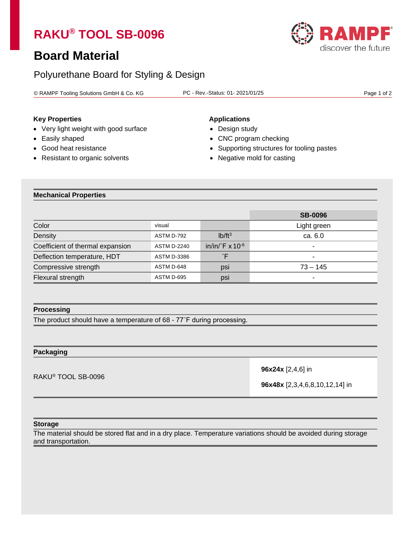# **RAKU® TOOL SB-0096**

## **Board Material**

## Polyurethane Board for Styling & Design

© RAMPF Tooling Solutions GmbH & Co. KG PC - Rev.-Status: 01- 2021/01/25 Page 1 of 2

### **Key Properties Applications**

- Very light weight with good surface Design study
- 
- 
- Resistant to organic solvents Negative mold for casting

- 
- Easily shaped CNC program checking
- Good heat resistance **•** Supporting structures for tooling pastes
	-

#### **Mechanical Properties**

|                                  |                    |                                    | <b>SB-0096</b> |
|----------------------------------|--------------------|------------------------------------|----------------|
| Color                            | visual             |                                    | Light green    |
| Density                          | ASTM D-792         | $Ib/ft^3$                          | ca. 6.0        |
| Coefficient of thermal expansion | <b>ASTM D-2240</b> | in/in/ $\mathsf{F} \times 10^{-6}$ | ٠              |
| Deflection temperature, HDT      | <b>ASTM D-3386</b> |                                    | ٠              |
| Compressive strength             | ASTM D-648         | psi                                | $73 - 145$     |
| Flexural strength                | ASTM D-695         | psi                                | $\blacksquare$ |

#### **Processing**

The product should have a temperature of 68 - 77˚F during processing.

#### **Packaging**

RAKU® TOOL SB-0096

**96x24x** [2,4,6] in

**96x48x** [2,3,4,6,8,10,12,14] in

#### **Storage**

The material should be stored flat and in a dry place. Temperature variations should be avoided during storage and transportation.